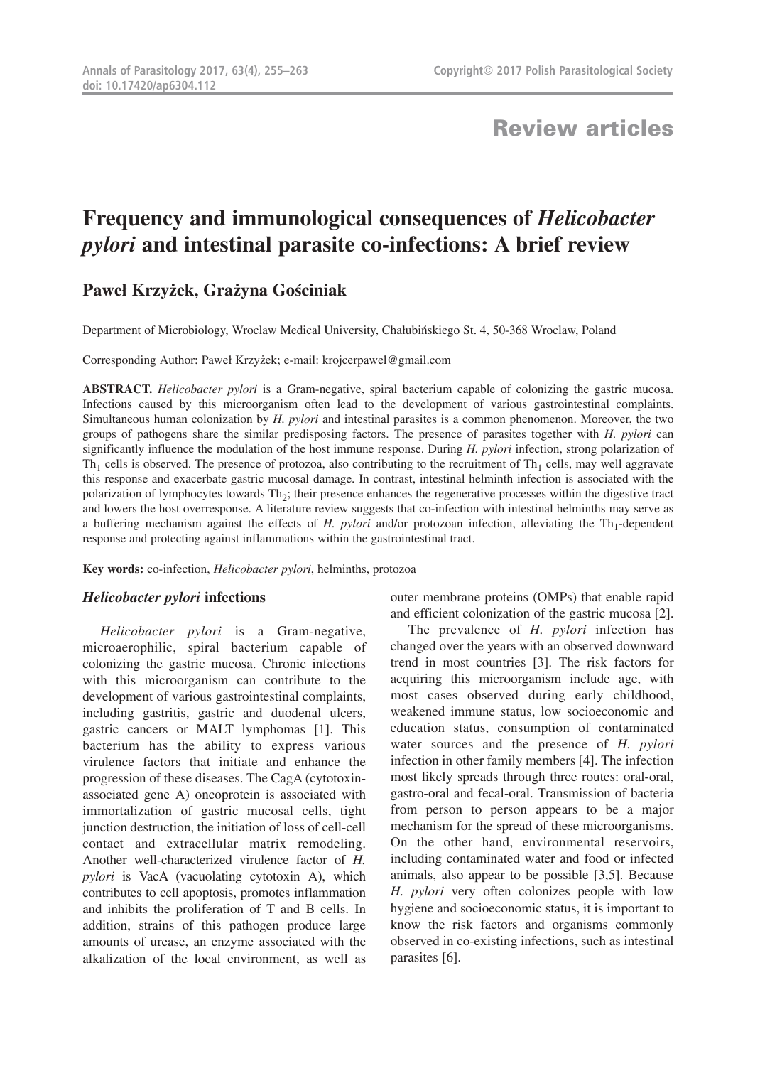## Review articles

# **Frequency and immunological consequences of** *Helicobacter pylori* **and intestinal parasite co-infections: A brief review**

## **Paweł Krzyżek, Grażyna Gościniak**

Department of Microbiology, Wroclaw Medical University, Chałubińskiego St. 4, 50-368 Wroclaw, Poland

Corresponding Author: Paweł Krzyżek; e-mail: krojcerpawel@gmail.com

**ABSTRACT.** *Helicobacter pylori* is a Gram-negative, spiral bacterium capable of colonizing the gastric mucosa. Infections caused by this microorganism often lead to the development of various gastrointestinal complaints. Simultaneous human colonization by *H. pylori* and intestinal parasites is a common phenomenon. Moreover, the two groups of pathogens share the similar predisposing factors. The presence of parasites together with *H. pylori* can significantly influence the modulation of the host immune response. During *H. pylori* infection, strong polarization of  $Th<sub>1</sub>$  cells is observed. The presence of protozoa, also contributing to the recruitment of  $Th<sub>1</sub>$  cells, may well aggravate this response and exacerbate gastric mucosal damage. In contrast, intestinal helminth infection is associated with the polarization of lymphocytes towards Th<sub>2</sub>; their presence enhances the regenerative processes within the digestive tract and lowers the host overresponse. A literature review suggests that co-infection with intestinal helminths may serve as a buffering mechanism against the effects of  $H$ . *pylori* and/or protozoan infection, alleviating the  $Th_1$ -dependent response and protecting against inflammations within the gastrointestinal tract.

**Key words:** co-infection, *Helicobacter pylori*, helminths, protozoa

#### *Helicobacter pylori* **infections**

*Helicobacter pylori* is a Gram-negative, microaerophilic, spiral bacterium capable of colonizing the gastric mucosa. Chronic infections with this microorganism can contribute to the development of various gastrointestinal complaints, including gastritis, gastric and duodenal ulcers, gastric cancers or MALT lymphomas [1]. This bacterium has the ability to express various virulence factors that initiate and enhance the progression of these diseases. The CagA (cytotoxinassociated gene A) oncoprotein is associated with immortalization of gastric mucosal cells, tight junction destruction, the initiation of loss of cell-cell contact and extracellular matrix remodeling. Another well-characterized virulence factor of *H. pylori* is VacA (vacuolating cytotoxin A), which contributes to cell apoptosis, promotes inflammation and inhibits the proliferation of T and B cells. In addition, strains of this pathogen produce large amounts of urease, an enzyme associated with the alkalization of the local environment, as well as outer membrane proteins (OMPs) that enable rapid and efficient colonization of the gastric mucosa [2].

The prevalence of *H. pylori* infection has changed over the years with an observed downward trend in most countries [3]. The risk factors for acquiring this microorganism include age, with most cases observed during early childhood, weakened immune status, low socioeconomic and education status, consumption of contaminated water sources and the presence of *H. pylori* infection in other family members [4]. The infection most likely spreads through three routes: oral-oral, gastro-oral and fecal-oral. Transmission of bacteria from person to person appears to be a major mechanism for the spread of these microorganisms. On the other hand, environmental reservoirs, including contaminated water and food or infected animals, also appear to be possible [3,5]. Because *H. pylori* very often colonizes people with low hygiene and socioeconomic status, it is important to know the risk factors and organisms commonly observed in co-existing infections, such as intestinal parasites [6].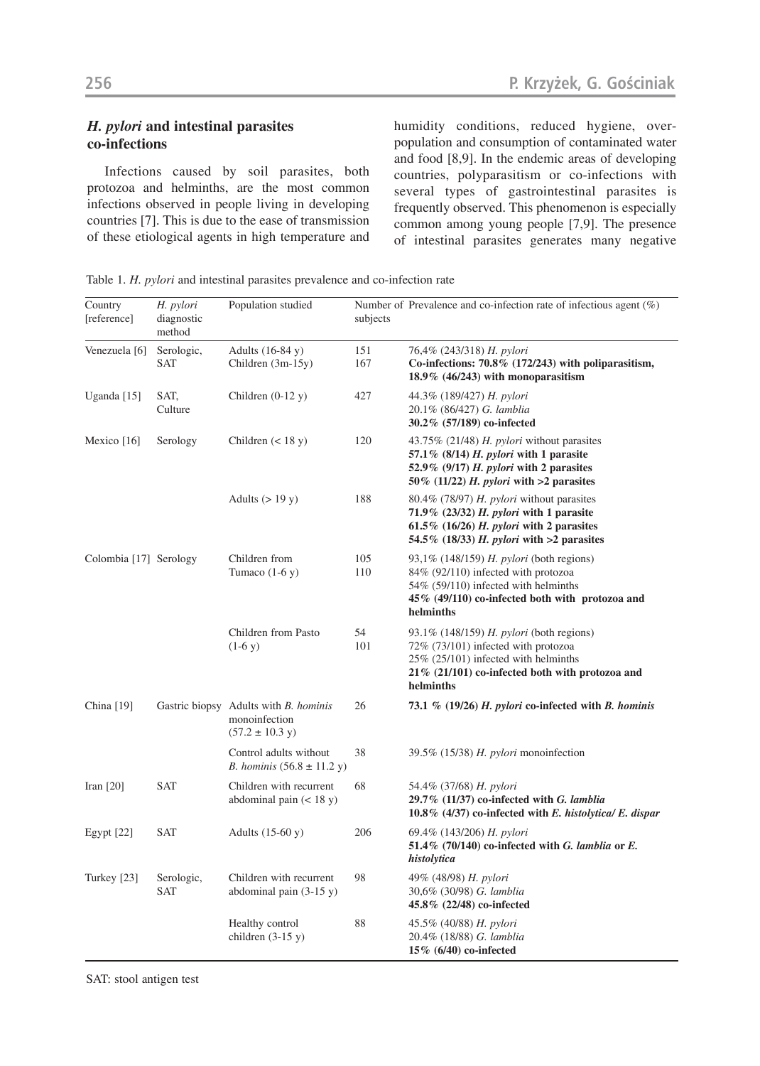### *H. pylori* **and intestinal parasites co-infections**

Infections caused by soil parasites, both protozoa and helminths, are the most common infections observed in people living in developing countries [7]. This is due to the ease of transmission of these etiological agents in high temperature and humidity conditions, reduced hygiene, overpopulation and consumption of contaminated water and food [8,9]. In the endemic areas of developing countries, polyparasitism or co-infections with several types of gastrointestinal parasites is frequently observed. This phenomenon is especially common among young people [7,9]. The presence of intestinal parasites generates many negative

Table 1. *H. pylori* and intestinal parasites prevalence and co-infection rate

| Country<br>[reference] | H. pylori<br>diagnostic<br>method | Population studied                                                                    | subjects   | Number of Prevalence and co-infection rate of infectious agent $(\%)$                                                                                                                            |
|------------------------|-----------------------------------|---------------------------------------------------------------------------------------|------------|--------------------------------------------------------------------------------------------------------------------------------------------------------------------------------------------------|
| Venezuela [6]          | Serologic,<br>SAT                 | Adults (16-84 y)<br>Children (3m-15y)                                                 | 151<br>167 | 76,4% (243/318) H. pylori<br>Co-infections: 70.8% (172/243) with poliparasitism,<br>18.9% (46/243) with monoparasitism                                                                           |
| Uganda [15]            | SAT,<br>Culture                   | Children $(0-12 y)$                                                                   | 427        | 44.3% (189/427) H. pylori<br>20.1% (86/427) G. lamblia<br>30.2% (57/189) co-infected                                                                                                             |
| Mexico [16]            | Serology                          | Children $(< 18 y)$                                                                   | 120        | 43.75% (21/48) $H.$ pylori without parasites<br>57.1% $(8/14)$ H. pylori with 1 parasite<br>52.9% (9/17) $H.$ pylori with 2 parasites<br>50% (11/22) H. pylori with $>2$ parasites               |
|                        |                                   | Adults $(>19 y)$                                                                      | 188        | 80.4% (78/97) H. pylori without parasites<br>71.9% $(23/32)$ H. pylori with 1 parasite<br>61.5% (16/26) H. pylori with 2 parasites<br>54.5% (18/33) H. pylori with $>2$ parasites                |
| Colombia [17] Serology |                                   | Children from<br>Tumaco $(1-6 y)$                                                     | 105<br>110 | 93,1% (148/159) $H.$ <i>pylori</i> (both regions)<br>84% (92/110) infected with protozoa<br>54% (59/110) infected with helminths<br>45% (49/110) co-infected both with protozoa and<br>helminths |
|                        |                                   | Children from Pasto<br>$(1-6 y)$                                                      | 54<br>101  | 93.1% (148/159) H. pylori (both regions)<br>72% (73/101) infected with protozoa<br>25% (25/101) infected with helminths<br>$21\%$ (21/101) co-infected both with protozoa and<br>helminths       |
| China [19]             |                                   | Gastric biopsy Adults with B. hominis<br>monoinfection<br>$(57.2 \pm 10.3 \text{ y})$ | 26         | 73.1 % $(19/26)$ H. pylori co-infected with B. hominis                                                                                                                                           |
|                        |                                   | Control adults without<br><i>B. hominis</i> $(56.8 \pm 11.2 \text{ y})$               | 38         | 39.5% (15/38) $H.$ pylori monoinfection                                                                                                                                                          |
| Iran $[20]$            | <b>SAT</b>                        | Children with recurrent<br>abdominal pain $(< 18 y)$                                  | 68         | 54.4% (37/68) H. pylori<br>$29.7\%$ (11/37) co-infected with G. lamblia<br>10.8% $(4/37)$ co-infected with E. histolytica/ E. dispar                                                             |
| Egypt [22]             | <b>SAT</b>                        | Adults $(15-60 y)$                                                                    | 206        | 69.4% (143/206) H. pylori<br>51.4% (70/140) co-infected with G. lamblia or $E$ .<br>histolytica                                                                                                  |
| Turkey [23]            | Serologic,<br><b>SAT</b>          | Children with recurrent<br>abdominal pain (3-15 y)                                    | 98         | 49% (48/98) H. pylori<br>30,6% (30/98) G. lamblia<br>45.8% (22/48) co-infected                                                                                                                   |
|                        |                                   | Healthy control<br>children $(3-15y)$                                                 | 88         | 45.5% (40/88) H. pylori<br>20.4% (18/88) G. lamblia<br>15% (6/40) co-infected                                                                                                                    |

SAT: stool antigen test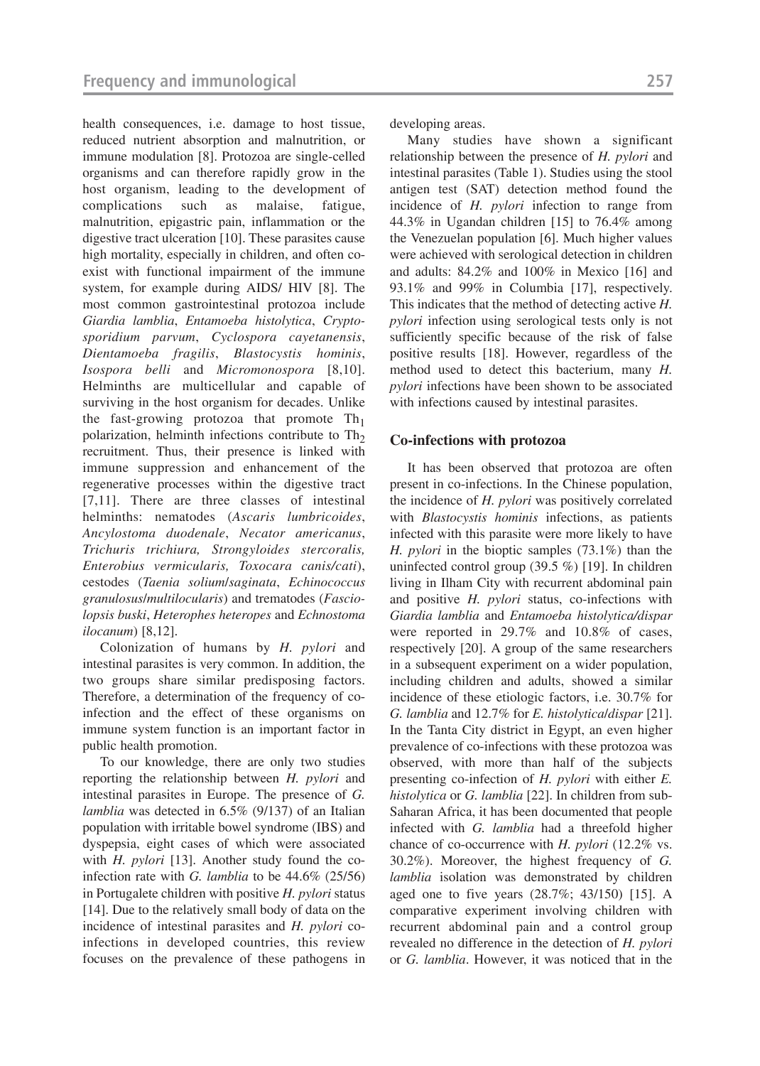health consequences, i.e. damage to host tissue, reduced nutrient absorption and malnutrition, or immune modulation [8]. Protozoa are single-celled organisms and can therefore rapidly grow in the host organism, leading to the development of complications such as malaise, fatigue, malnutrition, epigastric pain, inflammation or the digestive tract ulceration [10]. These parasites cause high mortality, especially in children, and often coexist with functional impairment of the immune system, for example during AIDS/ HIV [8]. The most common gastrointestinal protozoa include *Giardia lamblia*, *Entamoeba histolytica*, *Cryptosporidium parvum*, *Cyclospora cayetanensis*, *Dientamoeba fragilis*, *Blastocystis hominis*, *Isospora belli* and *Micromonospora* [8,10]. Helminths are multicellular and capable of surviving in the host organism for decades. Unlike the fast-growing protozoa that promote  $Th<sub>1</sub>$ polarization, helminth infections contribute to  $Th<sub>2</sub>$ recruitment. Thus, their presence is linked with immune suppression and enhancement of the regenerative processes within the digestive tract [7,11]. There are three classes of intestinal helminths: nematodes (*Ascaris lumbricoides*, *Ancylostoma duodenale*, *Necator americanus*, *Trichuris trichiura, Strongyloides stercoralis, Enterobius vermicularis, Toxocara canis/cati*), cestodes (*Taenia solium*/*saginata*, *Echinococcus granulosus*/*multilocularis*) and trematodes (*Fasciolopsis buski*, *Heterophes heteropes* and *Echnostoma ilocanum*) [8,12].

Colonization of humans by *H. pylori* and intestinal parasites is very common. In addition, the two groups share similar predisposing factors. Therefore, a determination of the frequency of coinfection and the effect of these organisms on immune system function is an important factor in public health promotion.

To our knowledge, there are only two studies reporting the relationship between *H. pylori* and intestinal parasites in Europe. The presence of *G. lamblia* was detected in 6.5% (9/137) of an Italian population with irritable bowel syndrome (IBS) and dyspepsia, eight cases of which were associated with *H. pylori* [13]. Another study found the coinfection rate with *G. lamblia* to be 44.6% (25/56) in Portugalete children with positive *H. pylori* status [14]. Due to the relatively small body of data on the incidence of intestinal parasites and *H. pylori* coinfections in developed countries, this review focuses on the prevalence of these pathogens in

developing areas.

Many studies have shown a significant relationship between the presence of *H. pylori* and intestinal parasites (Table 1). Studies using the stool antigen test (SAT) detection method found the incidence of *H. pylori* infection to range from 44.3% in Ugandan children [15] to 76.4% among the Venezuelan population [6]. Much higher values were achieved with serological detection in children and adults: 84.2% and 100% in Mexico [16] and 93.1% and 99% in Columbia [17], respectively. This indicates that the method of detecting active *H. pylori* infection using serological tests only is not sufficiently specific because of the risk of false positive results [18]. However, regardless of the method used to detect this bacterium, many *H. pylori* infections have been shown to be associated with infections caused by intestinal parasites.

#### **Co-infections with protozoa**

It has been observed that protozoa are often present in co-infections. In the Chinese population, the incidence of *H. pylori* was positively correlated with *Blastocystis hominis* infections, as patients infected with this parasite were more likely to have *H. pylori* in the bioptic samples (73.1%) than the uninfected control group (39.5 %) [19]. In children living in Ilham City with recurrent abdominal pain and positive *H. pylori* status, co-infections with *Giardia lamblia* and *Entamoeba histolytica/dispar* were reported in 29.7% and 10.8% of cases, respectively [20]. A group of the same researchers in a subsequent experiment on a wider population, including children and adults, showed a similar incidence of these etiologic factors, i.e. 30.7% for *G. lamblia* and 12.7% for *E. histolytica*/*dispar* [21]. In the Tanta City district in Egypt, an even higher prevalence of co-infections with these protozoa was observed, with more than half of the subjects presenting co-infection of *H. pylori* with either *E. histolytica* or *G. lamblia* [22]. In children from sub-Saharan Africa, it has been documented that people infected with *G. lamblia* had a threefold higher chance of co-occurrence with *H. pylori* (12.2% vs. 30.2%). Moreover, the highest frequency of *G. lamblia* isolation was demonstrated by children aged one to five years (28.7%; 43/150) [15]. A comparative experiment involving children with recurrent abdominal pain and a control group revealed no difference in the detection of *H. pylori* or *G. lamblia*. However, it was noticed that in the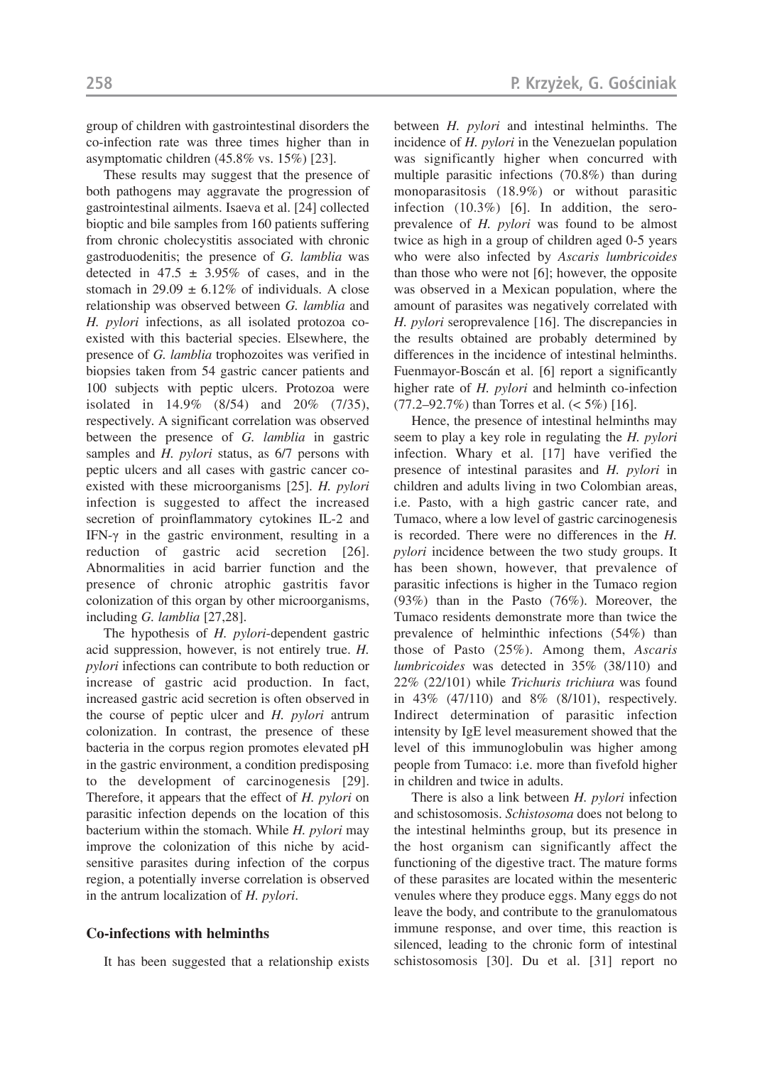group of children with gastrointestinal disorders the co-infection rate was three times higher than in asymptomatic children (45.8% vs. 15%) [23].

These results may suggest that the presence of both pathogens may aggravate the progression of gastrointestinal ailments. Isaeva et al. [24] collected bioptic and bile samples from 160 patients suffering from chronic cholecystitis associated with chronic gastroduodenitis; the presence of *G. lamblia* was detected in 47.5  $\pm$  3.95% of cases, and in the stomach in 29.09  $\pm$  6.12% of individuals. A close relationship was observed between *G. lamblia* and *H. pylori* infections, as all isolated protozoa coexisted with this bacterial species. Elsewhere, the presence of *G. lamblia* trophozoites was verified in biopsies taken from 54 gastric cancer patients and 100 subjects with peptic ulcers. Protozoa were isolated in 14.9% (8/54) and 20% (7/35), respectively. A significant correlation was observed between the presence of *G. lamblia* in gastric samples and *H. pylori* status, as 6/7 persons with peptic ulcers and all cases with gastric cancer coexisted with these microorganisms [25]. *H. pylori* infection is suggested to affect the increased secretion of proinflammatory cytokines IL-2 and IFN-γ in the gastric environment, resulting in a reduction of gastric acid secretion [26]. Abnormalities in acid barrier function and the presence of chronic atrophic gastritis favor colonization of this organ by other microorganisms, including *G. lamblia* [27,28].

The hypothesis of *H. pylori*-dependent gastric acid suppression, however, is not entirely true. *H. pylori* infections can contribute to both reduction or increase of gastric acid production. In fact, increased gastric acid secretion is often observed in the course of peptic ulcer and *H. pylori* antrum colonization. In contrast, the presence of these bacteria in the corpus region promotes elevated pH in the gastric environment, a condition predisposing to the development of carcinogenesis [29]. Therefore, it appears that the effect of *H. pylori* on parasitic infection depends on the location of this bacterium within the stomach. While *H. pylori* may improve the colonization of this niche by acidsensitive parasites during infection of the corpus region, a potentially inverse correlation is observed in the antrum localization of *H. pylori*.

#### **Co-infections with helminths**

It has been suggested that a relationship exists

between *H. pylori* and intestinal helminths. The incidence of *H. pylori* in the Venezuelan population was significantly higher when concurred with multiple parasitic infections (70.8%) than during monoparasitosis (18.9%) or without parasitic infection (10.3%) [6]. In addition, the seroprevalence of *H. pylori* was found to be almost twice as high in a group of children aged 0-5 years who were also infected by *Ascaris lumbricoides* than those who were not [6]; however, the opposite was observed in a Mexican population, where the amount of parasites was negatively correlated with *H. pylori* seroprevalence [16]. The discrepancies in the results obtained are probably determined by differences in the incidence of intestinal helminths. Fuenmayor-Boscán et al. [6] report a significantly higher rate of *H. pylori* and helminth co-infection  $(77.2–92.7%)$  than Torres et al.  $(< 5\%)$  [16].

Hence, the presence of intestinal helminths may seem to play a key role in regulating the *H. pylori* infection. Whary et al. [17] have verified the presence of intestinal parasites and *H. pylori* in children and adults living in two Colombian areas, i.e. Pasto, with a high gastric cancer rate, and Tumaco, where a low level of gastric carcinogenesis is recorded. There were no differences in the *H. pylori* incidence between the two study groups. It has been shown, however, that prevalence of parasitic infections is higher in the Tumaco region (93%) than in the Pasto (76%). Moreover, the Tumaco residents demonstrate more than twice the prevalence of helminthic infections (54%) than those of Pasto (25%). Among them, *Ascaris lumbricoides* was detected in 35% (38/110) and 22% (22/101) while *Trichuris trichiura* was found in 43% (47/110) and 8% (8/101), respectively. Indirect determination of parasitic infection intensity by IgE level measurement showed that the level of this immunoglobulin was higher among people from Tumaco: i.e. more than fivefold higher in children and twice in adults.

There is also a link between *H. pylori* infection and schistosomosis. *Schistosoma* does not belong to the intestinal helminths group, but its presence in the host organism can significantly affect the functioning of the digestive tract. The mature forms of these parasites are located within the mesenteric venules where they produce eggs. Many eggs do not leave the body, and contribute to the granulomatous immune response, and over time, this reaction is silenced, leading to the chronic form of intestinal schistosomosis [30]. Du et al. [31] report no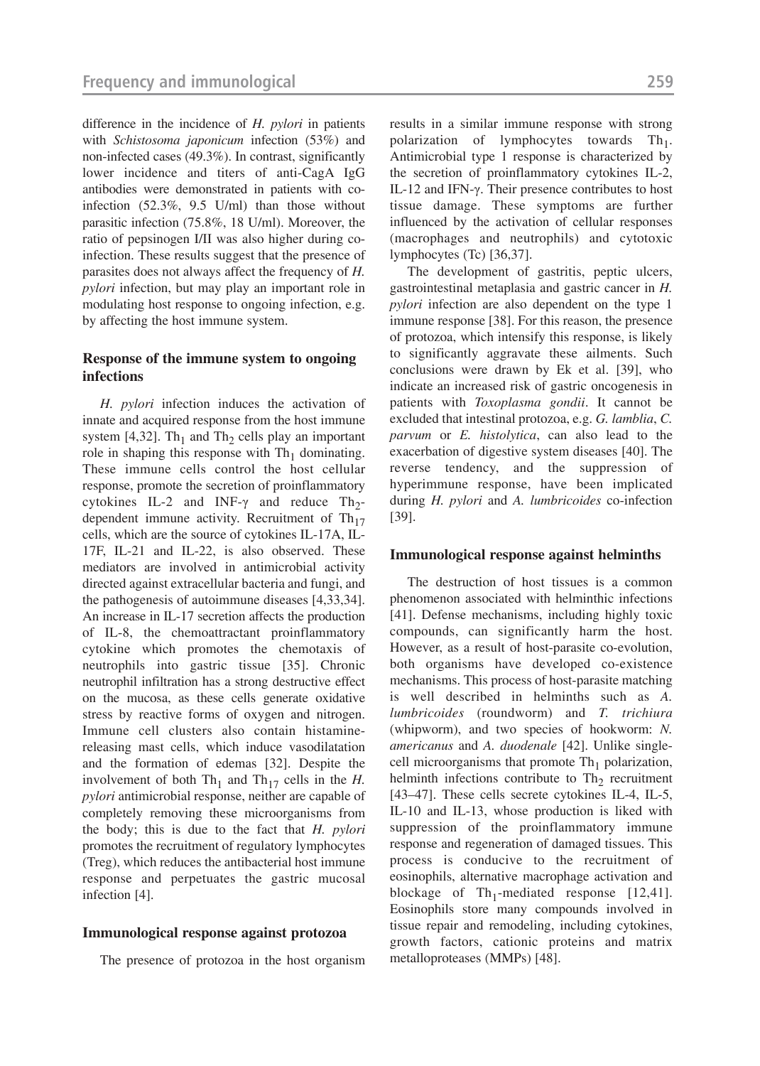difference in the incidence of *H. pylori* in patients with *Schistosoma japonicum* infection (53%) and non-infected cases (49.3%). In contrast, significantly lower incidence and titers of anti-CagA IgG antibodies were demonstrated in patients with coinfection (52.3%, 9.5 U/ml) than those without parasitic infection (75.8%, 18 U/ml). Moreover, the ratio of pepsinogen I/II was also higher during coinfection. These results suggest that the presence of parasites does not always affect the frequency of *H. pylori* infection, but may play an important role in modulating host response to ongoing infection, e.g. by affecting the host immune system.

#### **Response of the immune system to ongoing infections**

*H. pylori* infection induces the activation of innate and acquired response from the host immune system [4,32]. Th<sub>1</sub> and Th<sub>2</sub> cells play an important role in shaping this response with  $Th<sub>1</sub>$  dominating. These immune cells control the host cellular response, promote the secretion of proinflammatory cytokines IL-2 and INF- $\gamma$  and reduce Th<sub>2</sub>dependent immune activity. Recruitment of  $Th_{17}$ cells, which are the source of cytokines IL-17A, IL-17F, IL-21 and IL-22, is also observed. These mediators are involved in antimicrobial activity directed against extracellular bacteria and fungi, and the pathogenesis of autoimmune diseases [4,33,34]. An increase in IL-17 secretion affects the production of IL-8, the chemoattractant proinflammatory cytokine which promotes the chemotaxis of neutrophils into gastric tissue [35]. Chronic neutrophil infiltration has a strong destructive effect on the mucosa, as these cells generate oxidative stress by reactive forms of oxygen and nitrogen. Immune cell clusters also contain histaminereleasing mast cells, which induce vasodilatation and the formation of edemas [32]. Despite the involvement of both  $\text{Th}_1$  and  $\text{Th}_{17}$  cells in the *H*. *pylori* antimicrobial response, neither are capable of completely removing these microorganisms from the body; this is due to the fact that *H. pylori* promotes the recruitment of regulatory lymphocytes (Treg), which reduces the antibacterial host immune response and perpetuates the gastric mucosal infection [4].

#### **Immunological response against protozoa**

The presence of protozoa in the host organism

results in a similar immune response with strong polarization of lymphocytes towards  $Th_1$ . Antimicrobial type 1 response is characterized by the secretion of proinflammatory cytokines IL-2, IL-12 and IFN-γ. Their presence contributes to host tissue damage. These symptoms are further influenced by the activation of cellular responses (macrophages and neutrophils) and cytotoxic

lymphocytes (Tc) [36,37]. The development of gastritis, peptic ulcers, gastrointestinal metaplasia and gastric cancer in *H. pylori* infection are also dependent on the type 1 immune response [38]. For this reason, the presence of protozoa, which intensify this response, is likely to significantly aggravate these ailments. Such conclusions were drawn by Ek et al. [39], who indicate an increased risk of gastric oncogenesis in patients with *Toxoplasma gondii*. It cannot be excluded that intestinal protozoa, e.g. *G. lamblia*, *C. parvum* or *E. histolytica*, can also lead to the exacerbation of digestive system diseases [40]. The reverse tendency, and the suppression of hyperimmune response, have been implicated during *H. pylori* and *A. lumbricoides* co-infection [39].

#### **Immunological response against helminths**

The destruction of host tissues is a common phenomenon associated with helminthic infections [41]. Defense mechanisms, including highly toxic compounds, can significantly harm the host. However, as a result of host-parasite co-evolution, both organisms have developed co-existence mechanisms. This process of host-parasite matching is well described in helminths such as *A. lumbricoides* (roundworm) and *T. trichiura* (whipworm), and two species of hookworm: *N. americanus* and *A. duodenale* [42]. Unlike singlecell microorganisms that promote  $Th<sub>1</sub>$  polarization, helminth infections contribute to  $Th_2$  recruitment [43–47]. These cells secrete cytokines IL-4, IL-5, IL-10 and IL-13, whose production is liked with suppression of the proinflammatory immune response and regeneration of damaged tissues. This process is conducive to the recruitment of eosinophils, alternative macrophage activation and blockage of  $Th_1$ -mediated response [12,41]. Eosinophils store many compounds involved in tissue repair and remodeling, including cytokines, growth factors, cationic proteins and matrix metalloproteases (MMPs) [48].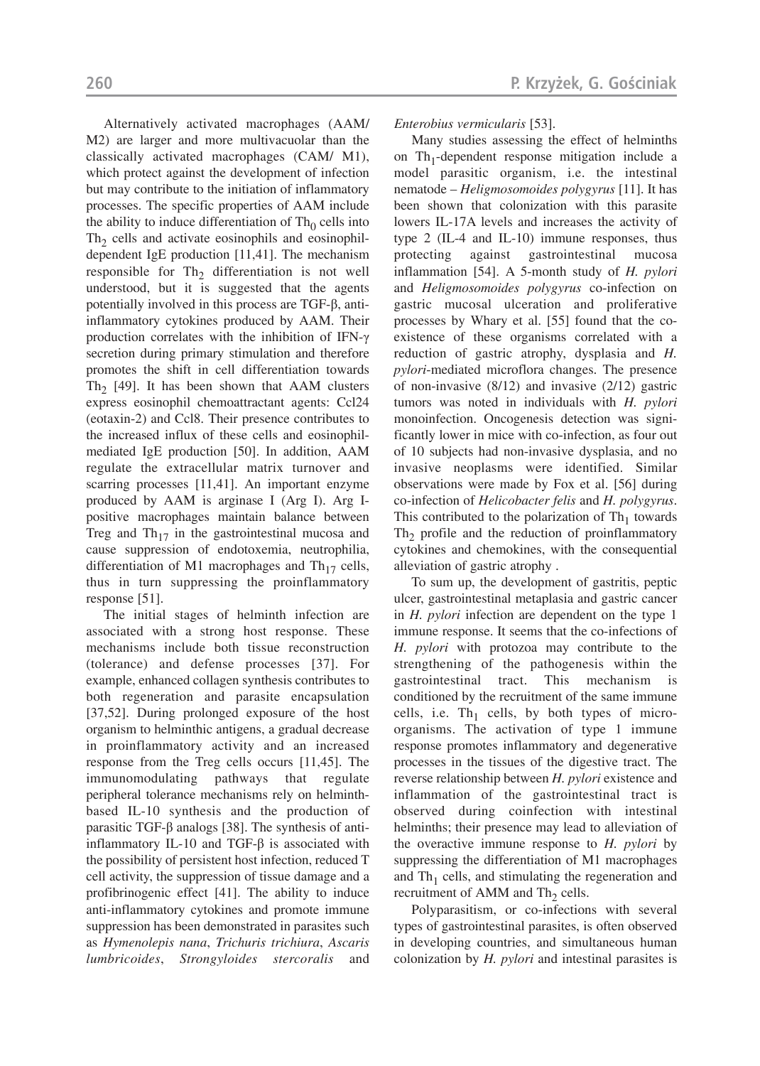Alternatively activated macrophages (AAM/ M2) are larger and more multivacuolar than the classically activated macrophages (CAM/ M1), which protect against the development of infection but may contribute to the initiation of inflammatory processes. The specific properties of AAM include the ability to induce differentiation of  $\text{Th}_0$  cells into  $Th<sub>2</sub>$  cells and activate eosinophils and eosinophildependent IgE production [11,41]. The mechanism responsible for  $Th_2$  differentiation is not well understood, but it is suggested that the agents potentially involved in this process are TGF-β, antiinflammatory cytokines produced by AAM. Their production correlates with the inhibition of IFN-γ secretion during primary stimulation and therefore promotes the shift in cell differentiation towards Th<sub>2</sub> [49]. It has been shown that AAM clusters express eosinophil chemoattractant agents: Ccl24 (eotaxin-2) and Ccl8. Their presence contributes to the increased influx of these cells and eosinophilmediated IgE production [50]. In addition, AAM regulate the extracellular matrix turnover and scarring processes [11,41]. An important enzyme produced by AAM is arginase I (Arg I). Arg Ipositive macrophages maintain balance between Treg and  $Th_{17}$  in the gastrointestinal mucosa and cause suppression of endotoxemia, neutrophilia, differentiation of M1 macrophages and  $Th_{17}$  cells, thus in turn suppressing the proinflammatory response [51].

The initial stages of helminth infection are associated with a strong host response. These mechanisms include both tissue reconstruction (tolerance) and defense processes [37]. For example, enhanced collagen synthesis contributes to both regeneration and parasite encapsulation [37,52]. During prolonged exposure of the host organism to helminthic antigens, a gradual decrease in proinflammatory activity and an increased response from the Treg cells occurs [11,45]. The immunomodulating pathways that regulate peripheral tolerance mechanisms rely on helminthbased IL-10 synthesis and the production of parasitic TGF-β analogs [38]. The synthesis of antiinflammatory IL-10 and TGF- $β$  is associated with the possibility of persistent host infection, reduced T cell activity, the suppression of tissue damage and a profibrinogenic effect [41]. The ability to induce anti-inflammatory cytokines and promote immune suppression has been demonstrated in parasites such as *Hymenolepis nana*, *Trichuris trichiura*, *Ascaris lumbricoides*, *Strongyloides stercoralis* and

*Enterobius vermicularis* [53].

Many studies assessing the effect of helminths on  $Th_1$ -dependent response mitigation include a model parasitic organism, i.e. the intestinal nematode – *Heligmosomoides polygyrus* [11]. It has been shown that colonization with this parasite lowers IL-17A levels and increases the activity of type 2 (IL-4 and IL-10) immune responses, thus protecting against gastrointestinal mucosa inflammation [54]. A 5-month study of *H. pylori* and *Heligmosomoides polygyrus* co-infection on gastric mucosal ulceration and proliferative processes by Whary et al. [55] found that the coexistence of these organisms correlated with a reduction of gastric atrophy, dysplasia and *H. pylori*-mediated microflora changes. The presence of non-invasive (8/12) and invasive (2/12) gastric tumors was noted in individuals with *H. pylori* monoinfection. Oncogenesis detection was significantly lower in mice with co-infection, as four out of 10 subjects had non-invasive dysplasia, and no invasive neoplasms were identified. Similar observations were made by Fox et al. [56] during co-infection of *Helicobacter felis* and *H. polygyrus*. This contributed to the polarization of  $Th<sub>1</sub>$  towards Th<sub>2</sub> profile and the reduction of proinflammatory cytokines and chemokines, with the consequential alleviation of gastric atrophy .

To sum up, the development of gastritis, peptic ulcer, gastrointestinal metaplasia and gastric cancer in *H. pylori* infection are dependent on the type 1 immune response. It seems that the co-infections of *H. pylori* with protozoa may contribute to the strengthening of the pathogenesis within the gastrointestinal tract. This mechanism is conditioned by the recruitment of the same immune cells, i.e. Th<sub>1</sub> cells, by both types of microorganisms. The activation of type 1 immune response promotes inflammatory and degenerative processes in the tissues of the digestive tract. The reverse relationship between *H. pylori* existence and inflammation of the gastrointestinal tract is observed during coinfection with intestinal helminths; their presence may lead to alleviation of the overactive immune response to *H. pylori* by suppressing the differentiation of M1 macrophages and  $Th<sub>1</sub>$  cells, and stimulating the regeneration and recruitment of AMM and Th<sub>2</sub> cells.

Polyparasitism, or co-infections with several types of gastrointestinal parasites, is often observed in developing countries, and simultaneous human colonization by *H. pylori* and intestinal parasites is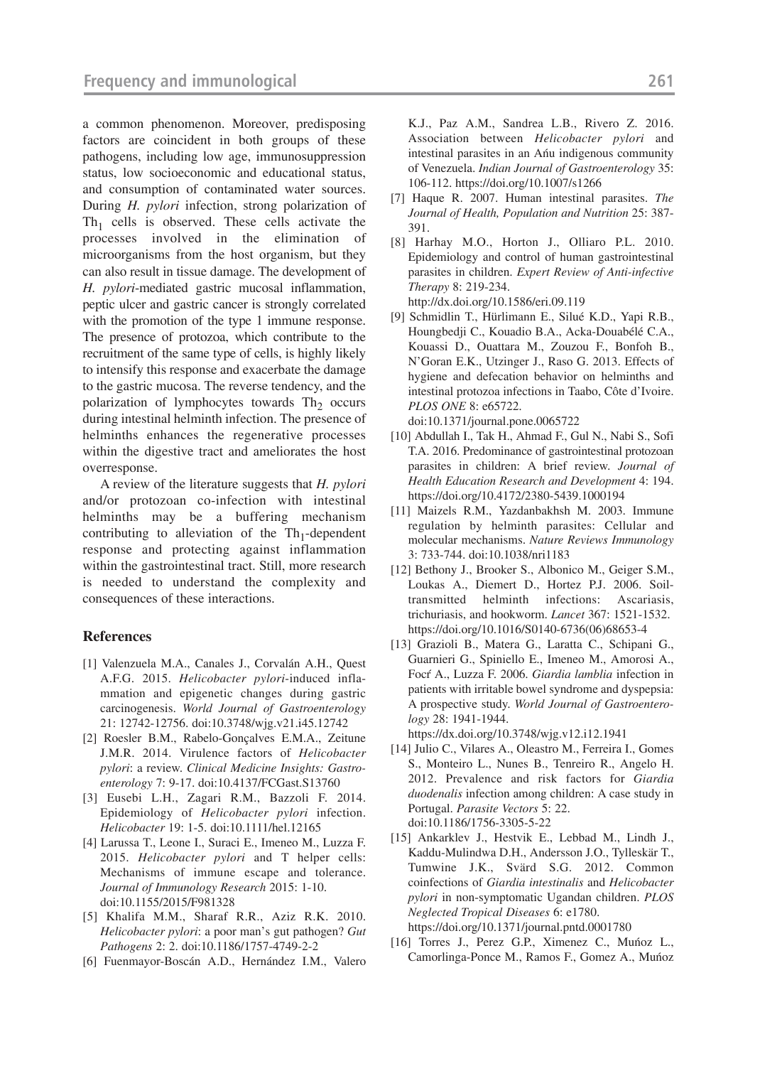a common phenomenon. Moreover, predisposing factors are coincident in both groups of these pathogens, including low age, immunosuppression status, low socioeconomic and educational status, and consumption of contaminated water sources. During *H. pylori* infection, strong polarization of  $Th<sub>1</sub>$  cells is observed. These cells activate the processes involved in the elimination of microorganisms from the host organism, but they can also result in tissue damage. The development of *H. pylori*-mediated gastric mucosal inflammation, peptic ulcer and gastric cancer is strongly correlated with the promotion of the type 1 immune response. The presence of protozoa, which contribute to the recruitment of the same type of cells, is highly likely to intensify this response and exacerbate the damage to the gastric mucosa. The reverse tendency, and the polarization of lymphocytes towards  $Th<sub>2</sub>$  occurs during intestinal helminth infection. The presence of helminths enhances the regenerative processes within the digestive tract and ameliorates the host overresponse.

A review of the literature suggests that *H. pylori* and/or protozoan co-infection with intestinal helminths may be a buffering mechanism contributing to alleviation of the  $Th_1$ -dependent response and protecting against inflammation within the gastrointestinal tract. Still, more research is needed to understand the complexity and consequences of these interactions.

#### **References**

- [1] Valenzuela M.A., Canales J., Corvalán A.H., Quest A.F.G. 2015. *Helicobacter pylori*-induced inflammation and epigenetic changes during gastric carcinogenesis. *World Journal of Gastroenterology* 21: 12742-12756. doi:10.3748/wjg.v21.i45.12742
- [2] Roesler B.M., Rabelo-Gonçalves E.M.A., Zeitune J.M.R. 2014. Virulence factors of *Helicobacter pylori*: a review. *Clinical Medicine Insights: Gastroenterology* 7: 9-17. doi:10.4137/FCGast.S13760
- [3] Eusebi L.H., Zagari R.M., Bazzoli F. 2014. Epidemiology of *Helicobacter pylori* infection. *Helicobacter* 19: 1-5. doi:10.1111/hel.12165
- [4] Larussa T., Leone I., Suraci E., Imeneo M., Luzza F. 2015. *Helicobacter pylori* and T helper cells: Mechanisms of immune escape and tolerance. *Journal of Immunology Research* 2015: 1-10. doi:10.1155/2015/F981328
- [5] Khalifa M.M., Sharaf R.R., Aziz R.K. 2010. *Helicobacter pylori*: a poor man's gut pathogen? *Gut Pathogens* 2: 2. doi:10.1186/1757-4749-2-2
- [6] Fuenmayor-Boscán A.D., Hernández I.M., Valero

K.J., Paz A.M., Sandrea L.B., Rivero Z. 2016. Association between *Helicobacter pylori* and intestinal parasites in an Añu indigenous community of Venezuela. *Indian Journal of Gastroenterology* 35: 106-112. https://doi.org/10.1007/s1266

- [7] Haque R. 2007. Human intestinal parasites. *The Journal of Health, Population and Nutrition* 25: 387- 391.
- [8] Harhay M.O., Horton J., Olliaro P.L. 2010. Epidemiology and control of human gastrointestinal parasites in children. *Expert Review of Anti-infective Therapy* 8: 219-234. http://dx.doi.org/10.1586/eri.09.119
- [9] Schmidlin T., Hürlimann E., Silué K.D., Yapi R.B., Houngbedji C., Kouadio B.A., Acka-Douabélé C.A., Kouassi D., Ouattara M., Zouzou F., Bonfoh B., N'Goran E.K., Utzinger J., Raso G. 2013. Effects of hygiene and defecation behavior on helminths and intestinal protozoa infections in Taabo, Côte d'Ivoire. *PLOS ONE* 8: e65722. doi:10.1371/journal.pone.0065722
- [10] Abdullah I., Tak H., Ahmad F., Gul N., Nabi S., Sofi T.A. 2016. Predominance of gastrointestinal protozoan parasites in children: A brief review. *Journal of Health Education Research and Development* 4: 194. https://doi.org/10.4172/2380-5439.1000194
- [11] Maizels R.M., Yazdanbakhsh M. 2003. Immune regulation by helminth parasites: Cellular and molecular mechanisms. *Nature Reviews Immunology* 3: 733-744. doi:10.1038/nri1183
- [12] Bethony J., Brooker S., Albonico M., Geiger S.M., Loukas A., Diemert D., Hortez P.J. 2006. Soiltransmitted helminth infections: Ascariasis, trichuriasis, and hookworm. *Lancet* 367: 1521-1532. https://doi.org/10.1016/S0140-6736(06)68653-4
- [13] Grazioli B., Matera G., Laratta C., Schipani G., Guarnieri G., Spiniello E., Imeneo M., Amorosi A., Focí A., Luzza F. 2006. *Giardia lamblia* infection in patients with irritable bowel syndrome and dyspepsia: A prospective study. *World Journal of Gastroenterology* 28: 1941-1944.
	- https://dx.doi.org/10.3748/wjg.v12.i12.1941
- [14] Julio C., Vilares A., Oleastro M., Ferreira I., Gomes S., Monteiro L., Nunes B., Tenreiro R., Angelo H. 2012. Prevalence and risk factors for *Giardia duodenalis* infection among children: A case study in Portugal. *Parasite Vectors* 5: 22. doi:10.1186/1756-3305-5-22
- [15] Ankarklev J., Hestvik E., Lebbad M., Lindh J., Kaddu-Mulindwa D.H., Andersson J.O., Tylleskär T., Tumwine J.K., Svärd S.G. 2012. Common coinfections of *Giardia intestinalis* and *Helicobacter pylori* in non-symptomatic Ugandan children. *PLOS Neglected Tropical Diseases* 6: e1780. https://doi.org/10.1371/journal.pntd.0001780
- [16] Torres J., Perez G.P., Ximenez C., Munoz L., Camorlinga-Ponce M., Ramos F., Gomez A., Muñoz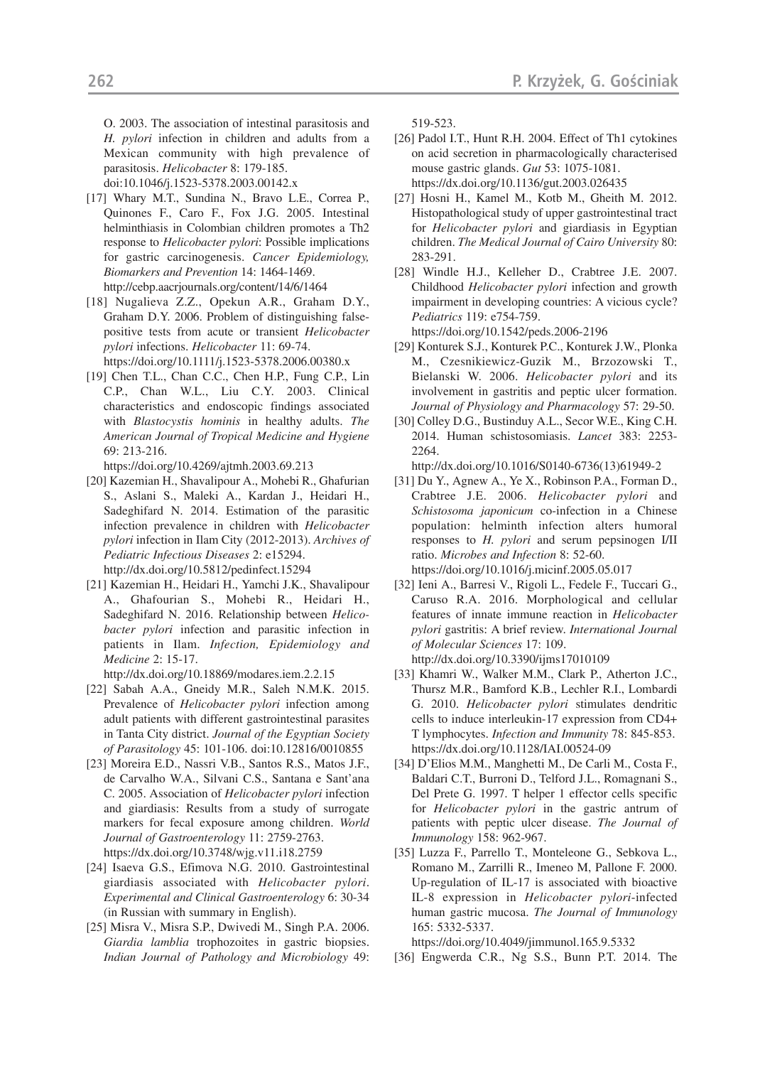O. 2003. The association of intestinal parasitosis and *H. pylori* infection in children and adults from a Mexican community with high prevalence of parasitosis. *Helicobacter* 8: 179-185.

doi:10.1046/j.1523-5378.2003.00142.x

- [17] Whary M.T., Sundina N., Bravo L.E., Correa P., Quinones F., Caro F., Fox J.G. 2005. Intestinal helminthiasis in Colombian children promotes a Th2 response to *Helicobacter pylori*: Possible implications for gastric carcinogenesis. *Cancer Epidemiology, Biomarkers and Prevention* 14: 1464-1469. http://cebp.aacrjournals.org/content/14/6/1464
- [18] Nugalieva Z.Z., Opekun A.R., Graham D.Y., Graham D.Y. 2006. Problem of distinguishing falsepositive tests from acute or transient *Helicobacter pylori* infections. *Helicobacter* 11: 69-74.

https://doi.org/10.1111/j.1523-5378.2006.00380.x

[19] Chen T.L., Chan C.C., Chen H.P., Fung C.P., Lin C.P., Chan W.L., Liu C.Y. 2003. Clinical characteristics and endoscopic findings associated with *Blastocystis hominis* in healthy adults. *The American Journal of Tropical Medicine and Hygiene* 69: 213-216.

https://doi.org/10.4269/ajtmh.2003.69.213

- [20] Kazemian H., Shavalipour A., Mohebi R., Ghafurian S., Aslani S., Maleki A., Kardan J., Heidari H., Sadeghifard N. 2014. Estimation of the parasitic infection prevalence in children with *Helicobacter pylori* infection in Ilam City (2012-2013). *Archives of Pediatric Infectious Diseases* 2: e15294. http://dx.doi.org/10.5812/pedinfect.15294
- [21] Kazemian H., Heidari H., Yamchi J.K., Shavalipour A., Ghafourian S., Mohebi R., Heidari H., Sadeghifard N. 2016. Relationship between *Helicobacter pylori* infection and parasitic infection in patients in Ilam. *Infection, Epidemiology and Medicine* 2: 15-17.

http://dx.doi.org/10.18869/modares.iem.2.2.15

- [22] Sabah A.A., Gneidy M.R., Saleh N.M.K. 2015. Prevalence of *Helicobacter pylori* infection among adult patients with different gastrointestinal parasites in Tanta City district. *Journal of the Egyptian Society of Parasitology* 45: 101-106. doi:10.12816/0010855
- [23] Moreira E.D., Nassri V.B., Santos R.S., Matos J.F., de Carvalho W.A., Silvani C.S., Santana e Sant'ana C. 2005. Association of *Helicobacter pylori* infection and giardiasis: Results from a study of surrogate markers for fecal exposure among children. *World Journal of Gastroenterology* 11: 2759-2763. https://dx.doi.org/10.3748/wjg.v11.i18.2759
- [24] Isaeva G.S., Efimova N.G. 2010. Gastrointestinal giardiasis associated with *Helicobacter pylori*. *Experimental and Clinical Gastroenterology* 6: 30-34 (in Russian with summary in English).
- [25] Misra V., Misra S.P., Dwivedi M., Singh P.A. 2006. *Giardia lamblia* trophozoites in gastric biopsies. *Indian Journal of Pathology and Microbiology* 49:

519-523.

- [26] Padol I.T., Hunt R.H. 2004. Effect of Th1 cytokines on acid secretion in pharmacologically characterised mouse gastric glands. *Gut* 53: 1075-1081. https://dx.doi.org/10.1136/gut.2003.026435
- [27] Hosni H., Kamel M., Kotb M., Gheith M. 2012. Histopathological study of upper gastrointestinal tract for *Helicobacter pylori* and giardiasis in Egyptian children. *The Medical Journal of Cairo University* 80: 283-291.
- [28] Windle H.J., Kelleher D., Crabtree J.E. 2007. Childhood *Helicobacter pylori* infection and growth impairment in developing countries: A vicious cycle? *Pediatrics* 119: e754-759.

https://doi.org/10.1542/peds.2006-2196

- [29] Konturek S.J., Konturek P.C., Konturek J.W., Plonka M., Czesnikiewicz-Guzik M., Brzozowski T., Bielanski W. 2006. *Helicobacter pylori* and its involvement in gastritis and peptic ulcer formation. *Journal of Physiology and Pharmacology* 57: 29-50.
- [30] Colley D.G., Bustinduy A.L., Secor W.E., King C.H. 2014. Human schistosomiasis. *Lancet* 383: 2253- 2264.

http://dx.doi.org/10.1016/S0140-6736(13)61949-2

- [31] Du Y., Agnew A., Ye X., Robinson P.A., Forman D., Crabtree J.E. 2006. *Helicobacter pylori* and *Schistosoma japonicum* co-infection in a Chinese population: helminth infection alters humoral responses to *H. pylori* and serum pepsinogen I/II ratio. *Microbes and Infection* 8: 52-60. https://doi.org/10.1016/j.micinf.2005.05.017
- [32] Ieni A., Barresi V., Rigoli L., Fedele F., Tuccari G., Caruso R.A. 2016. Morphological and cellular features of innate immune reaction in *Helicobacter pylori* gastritis: A brief review. *International Journal of Molecular Sciences* 17: 109. http://dx.doi.org/10.3390/ijms17010109
- [33] Khamri W., Walker M.M., Clark P., Atherton J.C., Thursz M.R., Bamford K.B., Lechler R.I., Lombardi G. 2010. *Helicobacter pylori* stimulates dendritic cells to induce interleukin-17 expression from CD4+ T lymphocytes. *Infection and Immunity* 78: 845-853. https://dx.doi.org/10.1128/IAI.00524-09
- [34] D'Elios M.M., Manghetti M., De Carli M., Costa F., Baldari C.T., Burroni D., Telford J.L., Romagnani S., Del Prete G. 1997. T helper 1 effector cells specific for *Helicobacter pylori* in the gastric antrum of patients with peptic ulcer disease. *The Journal of Immunology* 158: 962-967.
- [35] Luzza F., Parrello T., Monteleone G., Sebkova L., Romano M., Zarrilli R., Imeneo M, Pallone F. 2000. Up-regulation of IL-17 is associated with bioactive IL-8 expression in *Helicobacter pylori*-infected human gastric mucosa. *The Journal of Immunology* 165: 5332-5337.

https://doi.org/10.4049/jimmunol.165.9.5332

[36] Engwerda C.R., Ng S.S., Bunn P.T. 2014. The